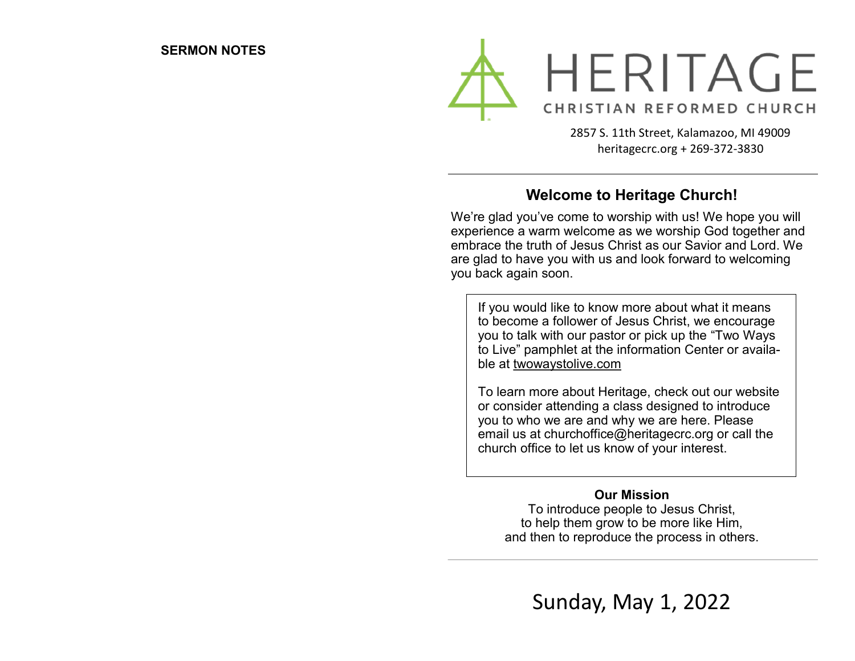

2857 S. 11th Street, Kalamazoo, MI 49009 heritagecrc.org + 269-372-3830

### **Welcome to Heritage Church!**

We're glad you've come to worship with us! We hope you will experience a warm welcome as we worship God together and embrace the truth of Jesus Christ as our Savior and Lord. We are glad to have you with us and look forward to welcoming you back again soon.

If you would like to know more about what it means to become a follower of Jesus Christ, we encourage you to talk with our pastor or pick up the "Two Ways to Live" pamphlet at the information Center or available at twowaystolive.com

To learn more about Heritage, check out our website or consider attending a class designed to introduce you to who we are and why we are here. Please email us at churchoffice@heritagecrc.org or call the church office to let us know of your interest.

#### **Our Mission**

To introduce people to Jesus Christ, to help them grow to be more like Him, and then to reproduce the process in others.

Sunday, May 1, 2022